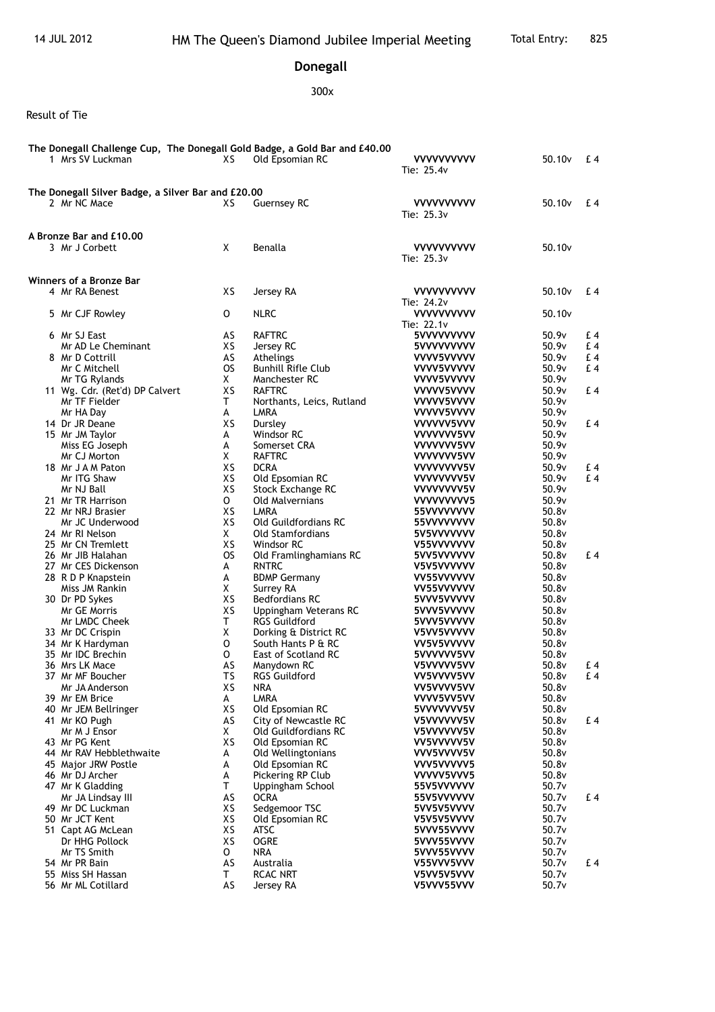## **Donegall**

## 300x

## Result of Tie

| The Donegall Challenge Cup, The Donegall Gold Badge, a Gold Bar and £40.00<br>1 Mrs SV Luckman | XS        | Old Epsomian RC                              | <b>VVVVVVVVVV</b><br>Tie: 25.4v | 50.10v             | £ 4            |
|------------------------------------------------------------------------------------------------|-----------|----------------------------------------------|---------------------------------|--------------------|----------------|
| The Donegall Silver Badge, a Silver Bar and £20.00                                             |           |                                              |                                 |                    |                |
| 2 Mr NC Mace                                                                                   | XS        | <b>Guernsey RC</b>                           | <b>VVVVVVVVVV</b><br>Tie: 25.3v | 50.10 <sub>v</sub> | £ 4            |
| <b>A Bronze Bar and £10.00</b><br>3 Mr J Corbett                                               | X         | Benalla                                      | <b>VVVVVVVVVV</b><br>Tie: 25.3v | 50.10 <sub>v</sub> |                |
| Winners of a Bronze Bar                                                                        |           |                                              |                                 |                    |                |
| 4 Mr RA Benest                                                                                 | XS        | Jersey RA                                    | <b>VVVVVVVVVV</b><br>Tie: 24.2v | 50.10 <sub>v</sub> | £ 4            |
| 5 Mr CJF Rowley                                                                                | 0         | <b>NLRC</b>                                  | <b>VVVVVVVVVV</b><br>Tie: 22.1v | 50.10 <sub>v</sub> |                |
| 6 Mr SJ East                                                                                   | AS        | <b>RAFTRC</b>                                | 5VVVVVVVVV                      | 50.9v              | £4             |
| Mr AD Le Cheminant                                                                             | XS        | Jersey RC                                    | 5VVVVVVVVV                      | 50.9v              | £4             |
| 8 Mr D Cottrill                                                                                | AS        | Athelings                                    | VVVV5VVVVV                      | 50.9v              | £4             |
| Mr C Mitchell                                                                                  | <b>OS</b> | <b>Bunhill Rifle Club</b>                    | VVVV5VVVVV                      | 50.9v              | £4             |
| Mr TG Rylands                                                                                  | X         | Manchester RC                                | VVVV5VVVVV                      | 50.9v              |                |
| 11 Wg. Cdr. (Ret'd) DP Calvert                                                                 | XS        | <b>RAFTRC</b>                                | VVVVV5VVVV                      | 50.9v              | £4             |
| Mr TF Fielder                                                                                  | Τ         | Northants, Leics, Rutland                    | VVVVV5VVVV                      | 50.9v              |                |
| Mr HA Day                                                                                      | A         | LMRA                                         | VVVVV5VVVV                      | 50.9v              |                |
| 14 Dr JR Deane<br>15 Mr JM Taylor                                                              | XS<br>A   | Dursley<br>Windsor RC                        | VVVVVV5VVV<br>VVVVVVV5VV        | 50.9v<br>50.9v     | £4             |
| Miss EG Joseph                                                                                 | А         | Somerset CRA                                 | VVVVVVV5VV                      | 50.9v              |                |
| Mr CJ Morton                                                                                   | X         | <b>RAFTRC</b>                                | VVVVVVV5VV                      | 50.9v              |                |
| 18 Mr J A M Paton                                                                              | XS        | <b>DCRA</b>                                  | VVVVVVV5V                       | 50.9v              | £ 4            |
| Mr ITG Shaw                                                                                    | XS        | Old Epsomian RC                              | VVVVVVV5V                       | 50.9v              | E <sub>4</sub> |
| Mr NJ Ball                                                                                     | XS        | Stock Exchange RC                            | VVVVVVV5V                       | 50.9v              |                |
| 21 Mr TR Harrison                                                                              | $\circ$   | <b>Old Malvernians</b>                       | VVVVVVVVV5                      | 50.9v              |                |
| 22 Mr NRJ Brasier                                                                              | XS        | LMRA                                         | 55VVVVVVVV                      | 50.8v              |                |
| Mr JC Underwood                                                                                | XS        | Old Guildfordians RC                         | 55VVVVVVVV                      | 50.8v              |                |
| 24 Mr RI Nelson                                                                                | X.        | <b>Old Stamfordians</b>                      | 5V5VVVVVVV                      | 50.8v              |                |
| 25 Mr CN Tremlett                                                                              | XS        | Windsor RC                                   | V55VVVVVVV                      | 50.8v              |                |
| 26 Mr JIB Halahan                                                                              | <b>OS</b> | Old Framlinghamians RC                       | 5VV5VVVVVV                      | 50.8v<br>50.8v     | £4             |
| 27 Mr CES Dickenson<br>28 R D P Knapstein                                                      | A<br>A    | <b>RNTRC</b><br><b>BDMP Germany</b>          | V5V5VVVVVV<br>VV55VVVVVV        | 50.8v              |                |
| Miss JM Rankin                                                                                 | X         | Surrey RA                                    | VV55VVVVVV                      | 50.8v              |                |
| 30 Dr PD Sykes                                                                                 | XS        | <b>Bedfordians RC</b>                        | 5VVV5VVVVV                      | 50.8v              |                |
| Mr GE Morris                                                                                   | XS        | Uppingham Veterans RC                        | 5VVV5VVVVV                      | 50.8v              |                |
| Mr LMDC Cheek                                                                                  | T.        | <b>RGS Guildford</b>                         | 5VVV5VVVVV                      | 50.8v              |                |
| 33 Mr DC Crispin                                                                               | X         | Dorking & District RC                        | V5VV5VVVVV                      | 50.8v              |                |
| 34 Mr K Hardyman                                                                               | 0         | South Hants P & RC                           | VV5V5VVVVV                      | 50.8v              |                |
| 35 Mr IDC Brechin                                                                              | 0         | East of Scotland RC                          | 5VVVVVV5VV                      | 50.8v              |                |
| 36 Mrs LK Mace                                                                                 | AS        | Manydown RC                                  | V5VVVVV5VV                      | 50.8v              | £ 4            |
| 37 Mr MF Boucher                                                                               | TS        | <b>RGS Guildford</b>                         | VV5VVVV5VV                      | 50.8v              | $E_4$          |
| Mr JA Anderson                                                                                 | XS        | NRA                                          | VV5VVVV5VV                      | 50.8v              |                |
| 39 Mr EM Brice                                                                                 | A         | <b>LMRA</b>                                  | VVVV5VV5VV                      | 50.8v              |                |
| 40 Mr JEM Bellringer                                                                           | XS        | Old Epsomian RC                              | 5VVVVVVV5V                      | 50.8v              |                |
| 41 Mr KO Pugh<br>Mr M J Ensor                                                                  | AS<br>X.  | City of Newcastle RC<br>Old Guildfordians RC | V5VVVVVV5V                      | 50.8v<br>50.8v     | £ 4            |
| 43 Mr PG Kent                                                                                  | XS        | Old Epsomian RC                              | V5VVVVVV5V<br>VV5VVVVV5V        | 50.8v              |                |
| 44 Mr RAV Hebblethwaite                                                                        | А         | Old Wellingtonians                           | VVV5VVVV5V                      | 50.8v              |                |
| 45 Major JRW Postle                                                                            | А         | Old Epsomian RC                              | VVV5VVVVV5                      | 50.8v              |                |
| 46 Mr DJ Archer                                                                                | А         | Pickering RP Club                            | VVVVV5VVV5                      | 50.8v              |                |
| 47 Mr K Gladding                                                                               | Τ         | Uppingham School                             | 55V5VVVVVV                      | 50.7v              |                |
| Mr JA Lindsay III                                                                              | AS        | <b>OCRA</b>                                  | 55V5VVVVVV                      | 50.7v              | £ 4            |
| 49 Mr DC Luckman                                                                               | XS        | Sedgemoor TSC                                | 5VV5V5VVVV                      | 50.7v              |                |
| 50 Mr JCT Kent                                                                                 | XS        | Old Epsomian RC                              | V5V5V5VVVV                      | 50.7v              |                |
| 51 Capt AG McLean                                                                              | XS        | ATSC                                         | 5VVV55VVVV                      | 50.7v              |                |
| Dr HHG Pollock                                                                                 | XS        | <b>OGRE</b>                                  | 5VVV55VVVV                      | 50.7v              |                |
| Mr TS Smith                                                                                    | O         | <b>NRA</b>                                   | 5VVV55VVVV                      | 50.7v              |                |
| 54 Mr PR Bain                                                                                  | AS        | Australia                                    | V55VVV5VVV                      | 50.7v              | £ 4            |
| 55 Miss SH Hassan                                                                              | Τ         | <b>RCAC NRT</b>                              | V5VV5V5VVV                      | 50.7v              |                |
| 56 Mr ML Cotillard                                                                             | AS        | Jersey RA                                    | V5VVV55VVV                      | 50.7v              |                |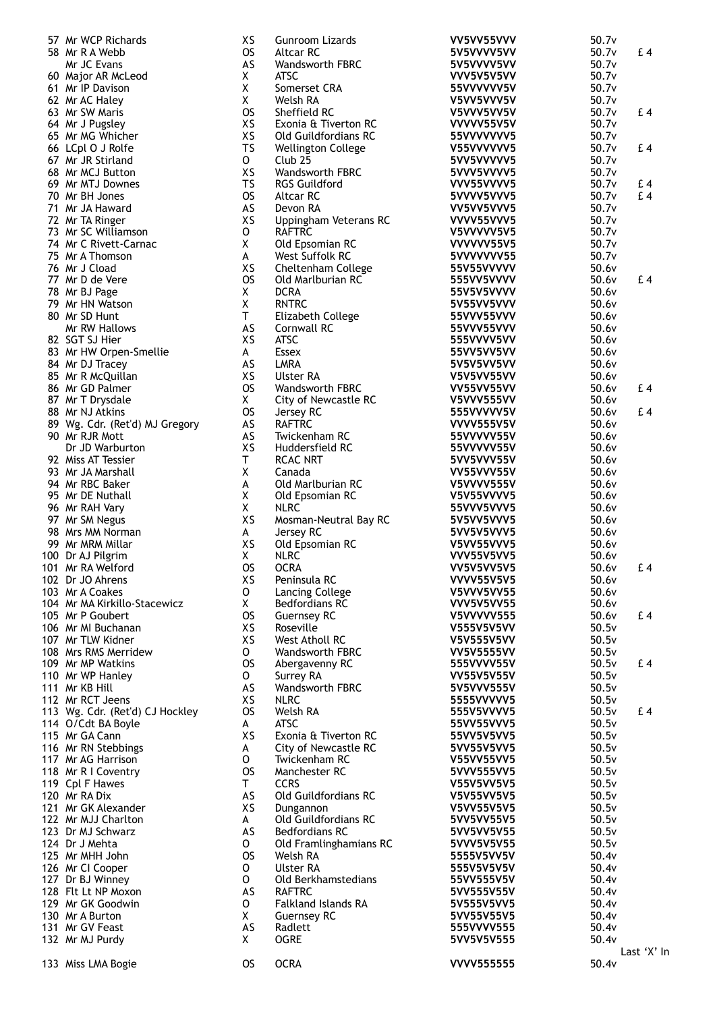| 57 Mr WCP Richards              | XS           | Gunroom Lizards                 | VV5VV55VVV        | 50.7v |             |
|---------------------------------|--------------|---------------------------------|-------------------|-------|-------------|
| 58 Mr R A Webb                  | <b>OS</b>    | Altcar RC                       | 5V5VVVV5VV        | 50.7v | £4          |
| Mr JC Evans                     | AS           | Wandsworth FBRC                 | 5V5VVVV5VV        | 50.7v |             |
| 60 Major AR McLeod              | X            | <b>ATSC</b>                     | VVV5V5V5VV        | 50.7v |             |
| 61 Mr IP Davison                | X            | Somerset CRA                    | 55VVVVVV5V        | 50.7v |             |
| 62 Mr AC Haley                  | X            | Welsh RA                        | V5VV5VVV5V        | 50.7v |             |
| 63 Mr SW Maris                  | <b>OS</b>    | Sheffield RC                    | V5VVV5VV5V        | 50.7v | £4          |
| 64 Mr J Pugsley                 | XS           | Exonia & Tiverton RC            | VVVVV55V5V        | 50.7v |             |
| 65 Mr MG Whicher                | XS           | Old Guildfordians RC            | 55VVVVVVV5        | 50.7v |             |
| 66 LCpl O J Rolfe               | <b>TS</b>    | <b>Wellington College</b>       | V55VVVVVV5        | 50.7v | £4          |
| 67 Mr JR Stirland               | $\mathsf{o}$ | Club <sub>25</sub>              | 5VV5VVVVV5        | 50.7v |             |
| 68 Mr MCJ Button                | XS           | Wandsworth FBRC                 | 5VVV5VVVV5        | 50.7v |             |
| 69 Mr MTJ Downes                | TS           | <b>RGS Guildford</b>            | VVV55VVVV5        | 50.7v | £4          |
| 70 Mr BH Jones                  | <b>OS</b>    | Altcar RC                       | 5VVVV5VVV5        | 50.7v | £4          |
| 71 Mr JA Haward                 | AS           | Devon RA                        | VV5VV5VVV5        | 50.7v |             |
| 72 Mr TA Ringer                 | XS           | Uppingham Veterans RC           | VVVV55VVV5        | 50.7v |             |
| 73 Mr SC Williamson             | 0            | <b>RAFTRC</b>                   | V5VVVVV5V5        | 50.7v |             |
| 74 Mr C Rivett-Carnac           | Χ            | Old Epsomian RC                 | VVVVV55V5         | 50.7v |             |
| 75 Mr A Thomson                 | A            | West Suffolk RC                 | 5VVVVVVV55        | 50.7v |             |
| 76 Mr J Cload                   | XS           | Cheltenham College              | 55V55VVVVV        | 50.6v |             |
| 77 Mr D de Vere                 | <b>OS</b>    | Old Marlburian RC               | 555VV5VVVV        | 50.6v | £4          |
|                                 | X            | <b>DCRA</b>                     | 55V5V5VVVV        | 50.6v |             |
| 78 Mr BJ Page                   |              |                                 |                   |       |             |
| 79 Mr HN Watson                 | χ            | <b>RNTRC</b>                    | 5V55VV5VVV        | 50.6v |             |
| 80 Mr SD Hunt                   | T            | Elizabeth College               | 55VVV55VVV        | 50.6v |             |
| Mr RW Hallows                   | AS           | Cornwall RC                     | 55VVV55VVV        | 50.6v |             |
| 82 SGT SJ Hier                  | XS           | <b>ATSC</b>                     | 555VVVV5VV        | 50.6v |             |
| 83 Mr HW Orpen-Smellie          | A            | <b>Essex</b>                    | 55VV5VV5VV        | 50.6v |             |
| 84 Mr DJ Tracey                 | AS           | <b>LMRA</b>                     | 5V5V5VV5VV        | 50.6v |             |
| 85 Mr R McQuillan               | XS           | <b>Ulster RA</b>                | V5V5VV55VV        | 50.6v |             |
| 86 Mr GD Palmer                 | <b>OS</b>    | <b>Wandsworth FBRC</b>          | VV55VV55VV        | 50.6v | £4          |
| 87 Mr T Drysdale                | X.           | City of Newcastle RC            | V5VVV555VV        | 50.6v |             |
| 88 Mr NJ Atkins                 | <b>OS</b>    | Jersey RC                       | 555VVVVV5V        | 50.6v | £4          |
| 89 Wg. Cdr. (Ret'd) MJ Gregory  | AS           | <b>RAFTRC</b>                   | <b>VVVV555V5V</b> | 50.6v |             |
| 90 Mr RJR Mott                  | AS           | Twickenham RC                   | 55VVVVV55V        | 50.6v |             |
| Dr JD Warburton                 | XS           | Huddersfield RC                 | 55VVVVV55V        | 50.6v |             |
| 92 Miss AT Tessier              | T            | <b>RCAC NRT</b>                 | 5VV5VVV55V        | 50.6v |             |
| 93 Mr JA Marshall               | X            | Canada                          | VV55VVV55V        | 50.6v |             |
| 94 Mr RBC Baker                 | А            | Old Marlburian RC               | V5VVVV555V        | 50.6v |             |
| 95 Mr DE Nuthall                | X            | Old Epsomian RC                 | V5V55VVVV5        | 50.6v |             |
| 96 Mr RAH Vary                  | X            | <b>NLRC</b>                     | 55VVV5VVV5        | 50.6v |             |
| 97 Mr SM Negus                  | XS           | Mosman-Neutral Bay RC           | 5V5VV5VVV5        | 50.6v |             |
| 98 Mrs MM Norman                | A            | Jersey RC                       | 5VV5V5VVV5        | 50.6v |             |
| 99 Mr MRM Millar                | XS           | Old Epsomian RC                 | V5VV55VVV5        | 50.6v |             |
| 100 Dr AJ Pilgrim               | X            | <b>NLRC</b>                     | <b>VVV55V5VV5</b> | 50.6v |             |
| 101 Mr RA Welford               | <b>OS</b>    | <b>OCRA</b>                     | VV5V5VV5V5        | 50.6v | $E_4$       |
| 102 Dr JO Ahrens                | XS           | Peninsula RC                    | <b>VVVV55V5V5</b> | 50.6v |             |
| 103 Mr A Coakes                 | 0            | Lancing College                 | V5VVV5VV55        | 50.6v |             |
| 104 Mr MA Kirkillo-Stacewicz    | X            | <b>Bedfordians RC</b>           | <b>VVV5V5VV55</b> | 50.6v |             |
| 105 Mr P Goubert                | <b>OS</b>    |                                 | <b>V5VVVVV555</b> | 50.6v | £4          |
| 106 Mr MI Buchanan              | XS           | <b>Guernsey RC</b><br>Roseville |                   | 50.5v |             |
|                                 |              |                                 | <b>V555V5V5VV</b> |       |             |
| 107 Mr TLW Kidner               | XS           | West Atholl RC                  | V5V555V5VV        | 50.5v |             |
| 108 Mrs RMS Merridew            | 0            | Wandsworth FBRC                 | <b>VV5V5555VV</b> | 50.5v |             |
| 109 Mr MP Watkins               | <b>OS</b>    | Abergavenny RC                  | 555VVVV55V        | 50.5v | £4          |
| 110 Mr WP Hanley                | 0            | Surrey RA                       | <b>VV55V5V55V</b> | 50.5v |             |
| 111 Mr KB Hill                  | AS           | Wandsworth FBRC                 | 5V5VVV555V        | 50.5v |             |
| 112 Mr RCT Jeens                | XS           | <b>NLRC</b>                     | 5555VVVVV5        | 50.5v |             |
| 113 Wg. Cdr. (Ret'd) CJ Hockley | <b>OS</b>    | Welsh RA                        | 555V5VVVV5        | 50.5v | £4          |
| 114 O/Cdt BA Boyle              | A            | <b>ATSC</b>                     | 55VV55VVV5        | 50.5v |             |
| 115 Mr GA Cann                  | XS           | Exonia & Tiverton RC            | 55VV5V5VV5        | 50.5v |             |
| 116 Mr RN Stebbings             | A            | City of Newcastle RC            | 5VV55V5VV5        | 50.5v |             |
| 117 Mr AG Harrison              | 0            | Twickenham RC                   | V55VV55VV5        | 50.5v |             |
| 118 Mr R I Coventry             | <b>OS</b>    | Manchester RC                   | 5VVV555VV5        | 50.5v |             |
| 119 Cpl F Hawes                 | T.           | <b>CCRS</b>                     | V55V5VV5V5        | 50.5v |             |
| 120 Mr RA Dix                   | AS           | Old Guildfordians RC            | V5V55VV5V5        | 50.5v |             |
| 121 Mr GK Alexander             | XS           | Dungannon                       | V5VV55V5V5        | 50.5v |             |
| 122 Mr MJJ Charlton             | A            | Old Guildfordians RC            | 5VV5VV55V5        | 50.5v |             |
| 123 Dr MJ Schwarz               | AS           | <b>Bedfordians RC</b>           | 5VV5VV5V55        | 50.5v |             |
| 124 Dr J Mehta                  | O            | Old Framlinghamians RC          | 5VVV5V5V55        | 50.5v |             |
| 125 Mr MHH John                 | <b>OS</b>    | Welsh RA                        | 5555V5VV5V        | 50.4v |             |
| 126 Mr CI Cooper                | 0            | <b>Ulster RA</b>                | 555V5V5V5V        | 50.4v |             |
| 127 Dr BJ Winney                | 0            | Old Berkhamstedians             | 55VV555V5V        | 50.4v |             |
| 128 Flt Lt NP Moxon             | AS           | <b>RAFTRC</b>                   | 5VV555V55V        | 50.4v |             |
| 129 Mr GK Goodwin               | 0            | Falkland Islands RA             | 5V555V5VV5        | 50.4v |             |
| 130 Mr A Burton                 | X            | <b>Guernsey RC</b>              | 5VV55V55V5        | 50.4v |             |
| 131 Mr GV Feast                 | AS           | Radlett                         | 555VVVV555        | 50.4v |             |
| 132 Mr MJ Purdy                 | X.           | <b>OGRE</b>                     | 5VV5V5V555        | 50.4v |             |
|                                 |              |                                 |                   |       | Last 'X' In |
| 133 Miss LMA Bogie              | <b>OS</b>    | <b>OCRA</b>                     | <b>VVVV555555</b> | 50.4v |             |
|                                 |              |                                 |                   |       |             |